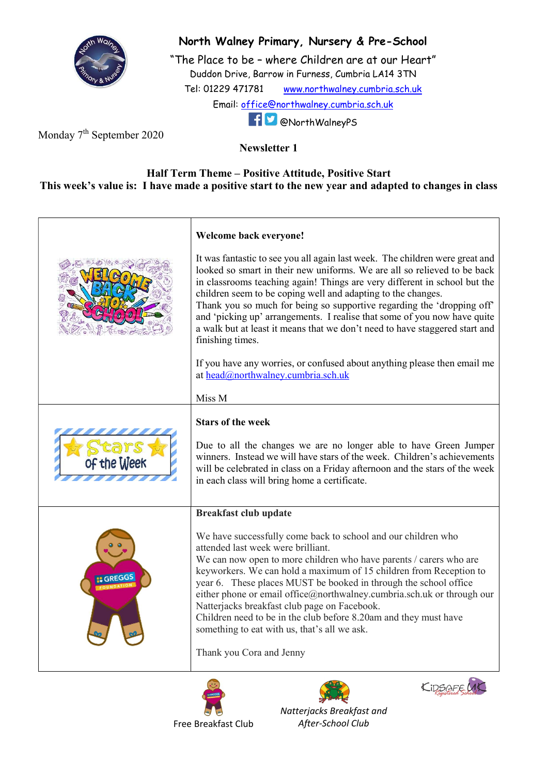

## North Walney Primary, Nursery & Pre-School

"The Place to be – where Children are at our Heart" Duddon Drive, Barrow in Furness, Cumbria LA14 3TN Tel: 01229 471781 www.northwalney.cumbria.sch.uk Email: office@northwalney.cumbria.sch.uk @NorthWalneyPS

Monday 7<sup>th</sup> September 2020

Newsletter 1

## Half Term Theme – Positive Attitude, Positive Start This week's value is: I have made a positive start to the new year and adapted to changes in class

|             | Welcome back everyone!                                                                                                                                                                                                                                                                                                                                                                                                                                                                                                                                                                        |
|-------------|-----------------------------------------------------------------------------------------------------------------------------------------------------------------------------------------------------------------------------------------------------------------------------------------------------------------------------------------------------------------------------------------------------------------------------------------------------------------------------------------------------------------------------------------------------------------------------------------------|
|             | It was fantastic to see you all again last week. The children were great and<br>looked so smart in their new uniforms. We are all so relieved to be back<br>in classrooms teaching again! Things are very different in school but the<br>children seem to be coping well and adapting to the changes.<br>Thank you so much for being so supportive regarding the 'dropping off'<br>and 'picking up' arrangements. I realise that some of you now have quite<br>a walk but at least it means that we don't need to have staggered start and<br>finishing times.                                |
|             | If you have any worries, or confused about anything please then email me<br>at head@northwalney.cumbria.sch.uk                                                                                                                                                                                                                                                                                                                                                                                                                                                                                |
|             | Miss M                                                                                                                                                                                                                                                                                                                                                                                                                                                                                                                                                                                        |
| of the Week | <b>Stars of the week</b><br>Due to all the changes we are no longer able to have Green Jumper<br>winners. Instead we will have stars of the week. Children's achievements<br>will be celebrated in class on a Friday afternoon and the stars of the week<br>in each class will bring home a certificate.                                                                                                                                                                                                                                                                                      |
|             | <b>Breakfast club update</b>                                                                                                                                                                                                                                                                                                                                                                                                                                                                                                                                                                  |
| GREGG       | We have successfully come back to school and our children who<br>attended last week were brilliant.<br>We can now open to more children who have parents / carers who are<br>keyworkers. We can hold a maximum of 15 children from Reception to<br>year 6. These places MUST be booked in through the school office<br>either phone or email office@northwalney.cumbria.sch.uk or through our<br>Natterjacks breakfast club page on Facebook.<br>Children need to be in the club before 8.20am and they must have<br>something to eat with us, that's all we ask.<br>Thank you Cora and Jenny |
|             | KIDSAFE                                                                                                                                                                                                                                                                                                                                                                                                                                                                                                                                                                                       |